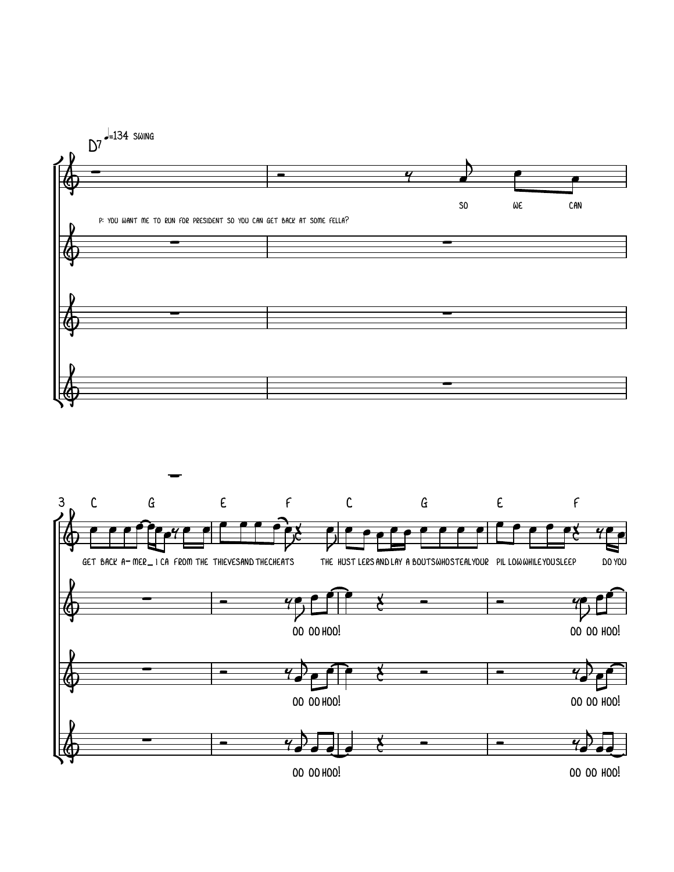